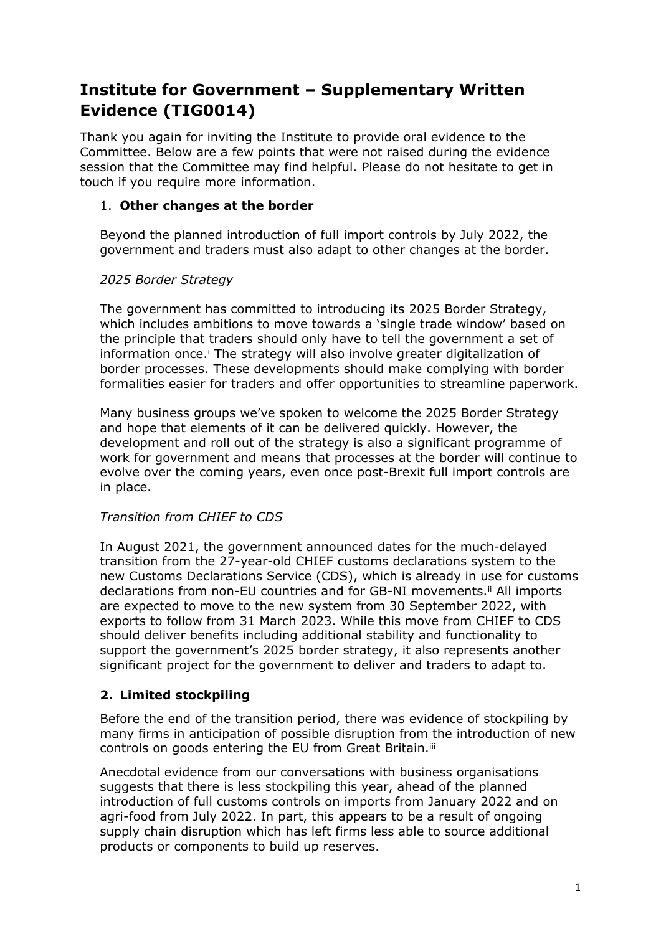# **Institute for Government – Supplementary Written Evidence (TIG0014)**

Thank you again for inviting the Institute to provide oral evidence to the Committee. Below are a few points that were not raised during the evidence session that the Committee may find helpful. Please do not hesitate to get in touch if you require more information.

### 1. **Other changes at the border**

Beyond the planned introduction of full import controls by July 2022, the government and traders must also adapt to other changes at the border.

### *2025 Border Strategy*

The government has committed to introducing its 2025 Border Strategy, which includes ambitions to move towards a 'single trade window' based on the principle that traders should only have to tell the government a set of information once.<sup>i</sup> The strategy will also involve greater digitalization of border processes. These developments should make complying with border formalities easier for traders and offer opportunities to streamline paperwork.

Many business groups we've spoken to welcome the 2025 Border Strategy and hope that elements of it can be delivered quickly. However, the development and roll out of the strategy is also a significant programme of work for government and means that processes at the border will continue to evolve over the coming years, even once post-Brexit full import controls are in place.

## *Transition from CHIEF to CDS*

In August 2021, the government announced dates for the much-delayed transition from the 27-year-old CHIEF customs declarations system to the new Customs Declarations Service (CDS), which is already in use for customs declarations from non-EU countries and for GB-NI movements.<sup>ii</sup> All imports are expected to move to the new system from 30 September 2022, with exports to follow from 31 March 2023. While this move from CHIEF to CDS should deliver benefits including additional stability and functionality to support the government's 2025 border strategy, it also represents another significant project for the government to deliver and traders to adapt to.

## **2. Limited stockpiling**

Before the end of the transition period, there was evidence of stockpiling by many firms in anticipation of possible disruption from the introduction of new controls on goods entering the EU from Great Britain.<sup>iii</sup>

Anecdotal evidence from our conversations with business organisations suggests that there is less stockpiling this year, ahead of the planned introduction of full customs controls on imports from January 2022 and on agri-food from July 2022. In part, this appears to be a result of ongoing supply chain disruption which has left firms less able to source additional products or components to build up reserves.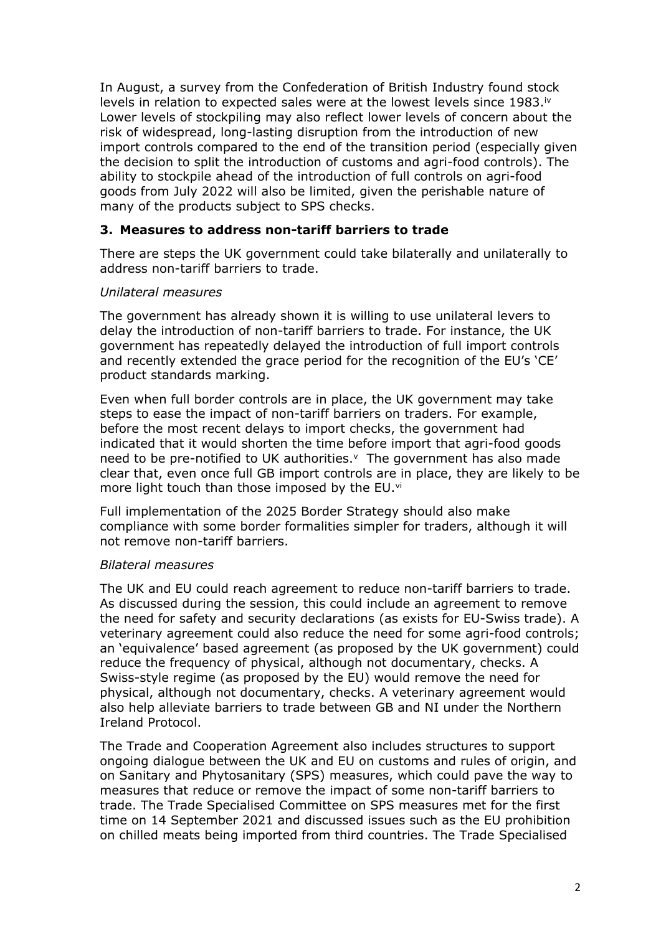In August, a survey from the Confederation of British Industry found stock levels in relation to expected sales were at the lowest levels since 1983.<sup>iv</sup> Lower levels of stockpiling may also reflect lower levels of concern about the risk of widespread, long-lasting disruption from the introduction of new import controls compared to the end of the transition period (especially given the decision to split the introduction of customs and agri-food controls). The ability to stockpile ahead of the introduction of full controls on agri-food goods from July 2022 will also be limited, given the perishable nature of many of the products subject to SPS checks.

#### **3. Measures to address non-tariff barriers to trade**

There are steps the UK government could take bilaterally and unilaterally to address non-tariff barriers to trade.

#### *Unilateral measures*

The government has already shown it is willing to use unilateral levers to delay the introduction of non-tariff barriers to trade. For instance, the UK government has repeatedly delayed the introduction of full import controls and recently extended the grace period for the recognition of the EU's 'CE' product standards marking.

Even when full border controls are in place, the UK government may take steps to ease the impact of non-tariff barriers on traders. For example, before the most recent delays to import checks, the government had indicated that it would shorten the time before import that agri-food goods need to be pre-notified to UK authorities. $<sup>v</sup>$  The government has also made</sup> clear that, even once full GB import controls are in place, they are likely to be more light touch than those imposed by the EU.vi

Full implementation of the 2025 Border Strategy should also make compliance with some border formalities simpler for traders, although it will not remove non-tariff barriers.

#### *Bilateral measures*

The UK and EU could reach agreement to reduce non-tariff barriers to trade. As discussed during the session, this could include an agreement to remove the need for safety and security declarations (as exists for EU-Swiss trade). A veterinary agreement could also reduce the need for some agri-food controls; an 'equivalence' based agreement (as proposed by the UK government) could reduce the frequency of physical, although not documentary, checks. A Swiss-style regime (as proposed by the EU) would remove the need for physical, although not documentary, checks. A veterinary agreement would also help alleviate barriers to trade between GB and NI under the Northern Ireland Protocol.

The Trade and Cooperation Agreement also includes structures to support ongoing dialogue between the UK and EU on customs and rules of origin, and on Sanitary and Phytosanitary (SPS) measures, which could pave the way to measures that reduce or remove the impact of some non-tariff barriers to trade. The Trade Specialised Committee on SPS measures met for the first time on 14 September 2021 and discussed issues such as the EU prohibition on chilled meats being imported from third countries. The Trade Specialised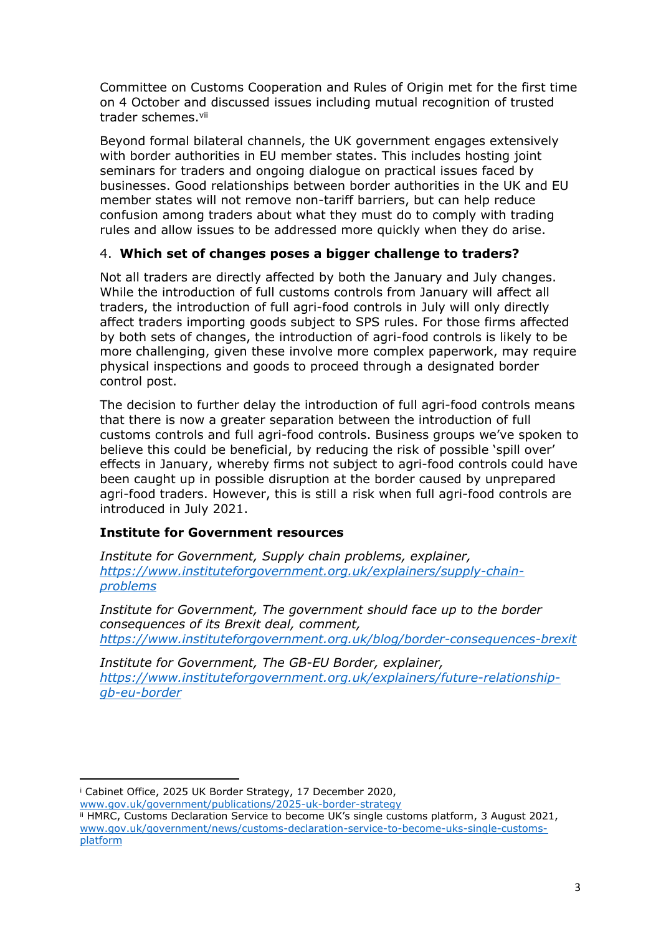Committee on Customs Cooperation and Rules of Origin met for the first time on 4 October and discussed issues including mutual recognition of trusted trader schemes.vii

Beyond formal bilateral channels, the UK government engages extensively with border authorities in EU member states. This includes hosting joint seminars for traders and ongoing dialogue on practical issues faced by businesses. Good relationships between border authorities in the UK and EU member states will not remove non-tariff barriers, but can help reduce confusion among traders about what they must do to comply with trading rules and allow issues to be addressed more quickly when they do arise.

#### 4. **Which set of changes poses a bigger challenge to traders?**

Not all traders are directly affected by both the January and July changes. While the introduction of full customs controls from January will affect all traders, the introduction of full agri-food controls in July will only directly affect traders importing goods subject to SPS rules. For those firms affected by both sets of changes, the introduction of agri-food controls is likely to be more challenging, given these involve more complex paperwork, may require physical inspections and goods to proceed through a designated border control post.

The decision to further delay the introduction of full agri-food controls means that there is now a greater separation between the introduction of full customs controls and full agri-food controls. Business groups we've spoken to believe this could be beneficial, by reducing the risk of possible 'spill over' effects in January, whereby firms not subject to agri-food controls could have been caught up in possible disruption at the border caused by unprepared agri-food traders. However, this is still a risk when full agri-food controls are introduced in July 2021.

## **Institute for Government resources**

*Institute for Government, Supply chain problems, explainer, [https://www.instituteforgovernment.org.uk/explainers/supply-chain](https://www.instituteforgovernment.org.uk/explainers/supply-chain-problems)[problems](https://www.instituteforgovernment.org.uk/explainers/supply-chain-problems)*

*Institute for Government, The government should face up to the border consequences of its Brexit deal, comment, <https://www.instituteforgovernment.org.uk/blog/border-consequences-brexit>*

*Institute for Government, The GB-EU Border, explainer, [https://www.instituteforgovernment.org.uk/explainers/future-relationship](https://www.instituteforgovernment.org.uk/explainers/future-relationship-gb-eu-border)[gb-eu-border](https://www.instituteforgovernment.org.uk/explainers/future-relationship-gb-eu-border)*

[www.gov.uk/government/publications/2025-uk-border-strategy](http://www.gov.uk/government/publications/2025-uk-border-strategy)

<sup>i</sup> Cabinet Office, 2025 UK Border Strategy, 17 December 2020,

ii HMRC, Customs Declaration Service to become UK's single customs platform, 3 August 2021, [www.gov.uk/government/news/customs-declaration-service-to-become-uks-single-customs](http://www.gov.uk/government/news/customs-declaration-service-to-become-uks-single-customs-platform)[platform](http://www.gov.uk/government/news/customs-declaration-service-to-become-uks-single-customs-platform)